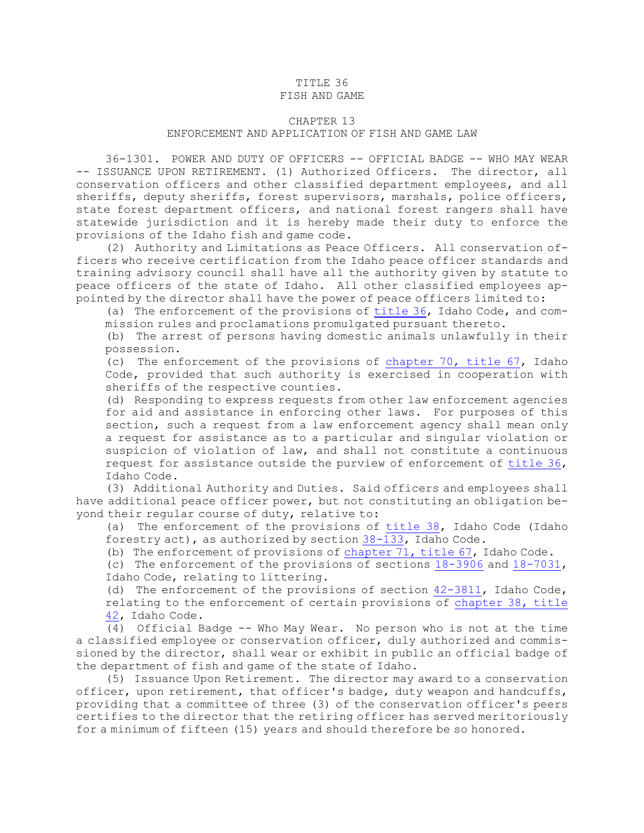## TITLE 36

## FISH AND GAME

## CHAPTER 13

## ENFORCEMENT AND APPLICATION OF FISH AND GAME LAW

36-1301. POWER AND DUTY OF OFFICERS -- OFFICIAL BADGE -- WHO MAY WEAR -- ISSUANCE UPON RETIREMENT. (1) Authorized Officers. The director, all conservation officers and other classified department employees, and all sheriffs, deputy sheriffs, forest supervisors, marshals, police officers, state forest department officers, and national forest rangers shall have statewide jurisdiction and it is hereby made their duty to enforce the provisions of the Idaho fish and game code.

(2) Authority and Limitations as Peace Officers. All conservation officers who receive certification from the Idaho peace officer standards and training advisory council shall have all the authority given by statute to peace officers of the state of Idaho. All other classified employees appointed by the director shall have the power of peace officers limited to:

(a) The enforcement of the provisions of [title](https://legislature.idaho.gov/statutesrules/idstat/Title36/T36) 36, Idaho Code, and commission rules and proclamations promulgated pursuant thereto.

(b) The arrest of persons having domestic animals unlawfully in their possession.

(c) The enforcement of the provisions of [chapter](https://legislature.idaho.gov/statutesrules/idstat/Title67/T67CH70) 70, title 67, Idaho Code, provided that such authority is exercised in cooperation with sheriffs of the respective counties.

(d) Responding to express requests from other law enforcement agencies for aid and assistance in enforcing other laws. For purposes of this section, such <sup>a</sup> request from <sup>a</sup> law enforcement agency shall mean only <sup>a</sup> request for assistance as to <sup>a</sup> particular and singular violation or suspicion of violation of law, and shall not constitute <sup>a</sup> continuous request for assistance outside the purview of enforcement of [title](https://legislature.idaho.gov/statutesrules/idstat/Title36/T36) 36, Idaho Code.

(3) Additional Authority and Duties. Said officers and employees shall have additional peace officer power, but not constituting an obligation beyond their regular course of duty, relative to:

(a) The enforcement of the provisions of [title](https://legislature.idaho.gov/statutesrules/idstat/Title38/T38) 38, Idaho Code (Idaho forestry act), as authorized by section [38-133](https://legislature.idaho.gov/statutesrules/idstat/Title38/T38CH1/SECT38-133), Idaho Code.

(b) The enforcement of provisions of [chapter](https://legislature.idaho.gov/statutesrules/idstat/Title67/T67CH71) 71, title 67, Idaho Code.

(c) The enforcement of the provisions of sections [18-3906](https://legislature.idaho.gov/statutesrules/idstat/Title18/T18CH39/SECT18-3906) and [18-7031](https://legislature.idaho.gov/statutesrules/idstat/Title18/T18CH70/SECT18-7031), Idaho Code, relating to littering.

(d) The enforcement of the provisions of section [42-3811](https://legislature.idaho.gov/statutesrules/idstat/Title42/T42CH38/SECT42-3811), Idaho Code, relating to the enforcement of certain provisions of [chapter](https://legislature.idaho.gov/statutesrules/idstat/Title42/T42CH38) 38, title [42](https://legislature.idaho.gov/statutesrules/idstat/Title42/T42CH38), Idaho Code.

(4) Official Badge -- Who May Wear. No person who is not at the time <sup>a</sup> classified employee or conservation officer, duly authorized and commissioned by the director, shall wear or exhibit in public an official badge of the department of fish and game of the state of Idaho.

(5) Issuance Upon Retirement. The director may award to <sup>a</sup> conservation officer, upon retirement, that officer's badge, duty weapon and handcuffs, providing that <sup>a</sup> committee of three (3) of the conservation officer's peers certifies to the director that the retiring officer has served meritoriously for <sup>a</sup> minimum of fifteen (15) years and should therefore be so honored.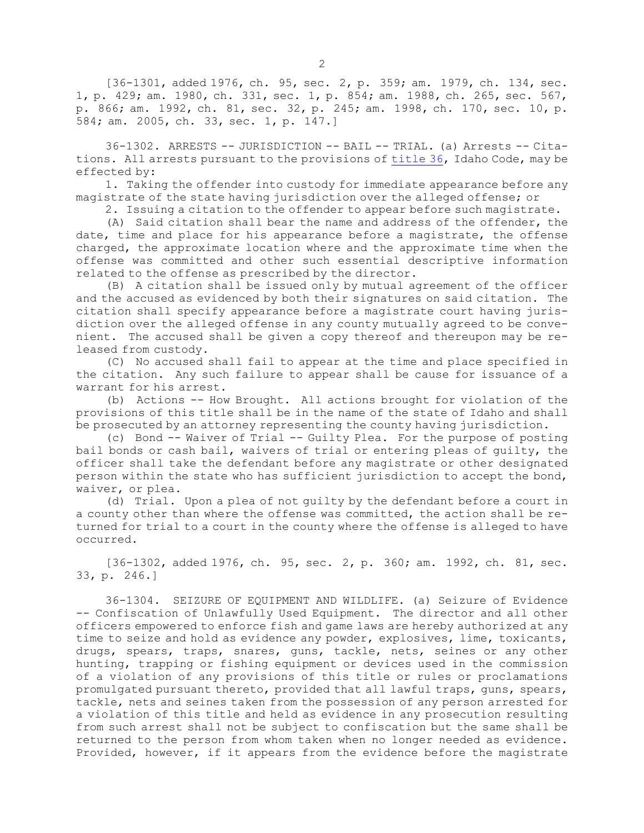[36-1301, added 1976, ch. 95, sec. 2, p. 359; am. 1979, ch. 134, sec. 1, p. 429; am. 1980, ch. 331, sec. 1, p. 854; am. 1988, ch. 265, sec. 567, p. 866; am. 1992, ch. 81, sec. 32, p. 245; am. 1998, ch. 170, sec. 10, p. 584; am. 2005, ch. 33, sec. 1, p. 147.]

36-1302. ARRESTS -- JURISDICTION -- BAIL -- TRIAL. (a) Arrests -- Citations. All arrests pursuant to the provisions of [title](https://legislature.idaho.gov/statutesrules/idstat/Title36/T36) 36, Idaho Code, may be effected by:

1. Taking the offender into custody for immediate appearance before any magistrate of the state having jurisdiction over the alleged offense; or

2. Issuing <sup>a</sup> citation to the offender to appear before such magistrate.

(A) Said citation shall bear the name and address of the offender, the date, time and place for his appearance before <sup>a</sup> magistrate, the offense charged, the approximate location where and the approximate time when the offense was committed and other such essential descriptive information related to the offense as prescribed by the director.

(B) <sup>A</sup> citation shall be issued only by mutual agreement of the officer and the accused as evidenced by both their signatures on said citation. The citation shall specify appearance before <sup>a</sup> magistrate court having jurisdiction over the alleged offense in any county mutually agreed to be convenient. The accused shall be given <sup>a</sup> copy thereof and thereupon may be released from custody.

(C) No accused shall fail to appear at the time and place specified in the citation. Any such failure to appear shall be cause for issuance of <sup>a</sup> warrant for his arrest.

(b) Actions -- How Brought. All actions brought for violation of the provisions of this title shall be in the name of the state of Idaho and shall be prosecuted by an attorney representing the county having jurisdiction.

(c) Bond -- Waiver of Trial -- Guilty Plea. For the purpose of posting bail bonds or cash bail, waivers of trial or entering pleas of guilty, the officer shall take the defendant before any magistrate or other designated person within the state who has sufficient jurisdiction to accept the bond, waiver, or plea.

(d) Trial. Upon <sup>a</sup> plea of not guilty by the defendant before <sup>a</sup> court in <sup>a</sup> county other than where the offense was committed, the action shall be returned for trial to <sup>a</sup> court in the county where the offense is alleged to have occurred.

[36-1302, added 1976, ch. 95, sec. 2, p. 360; am. 1992, ch. 81, sec. 33, p. 246.]

36-1304. SEIZURE OF EQUIPMENT AND WILDLIFE. (a) Seizure of Evidence -- Confiscation of Unlawfully Used Equipment. The director and all other officers empowered to enforce fish and game laws are hereby authorized at any time to seize and hold as evidence any powder, explosives, lime, toxicants, drugs, spears, traps, snares, guns, tackle, nets, seines or any other hunting, trapping or fishing equipment or devices used in the commission of <sup>a</sup> violation of any provisions of this title or rules or proclamations promulgated pursuant thereto, provided that all lawful traps, guns, spears, tackle, nets and seines taken from the possession of any person arrested for <sup>a</sup> violation of this title and held as evidence in any prosecution resulting from such arrest shall not be subject to confiscation but the same shall be returned to the person from whom taken when no longer needed as evidence. Provided, however, if it appears from the evidence before the magistrate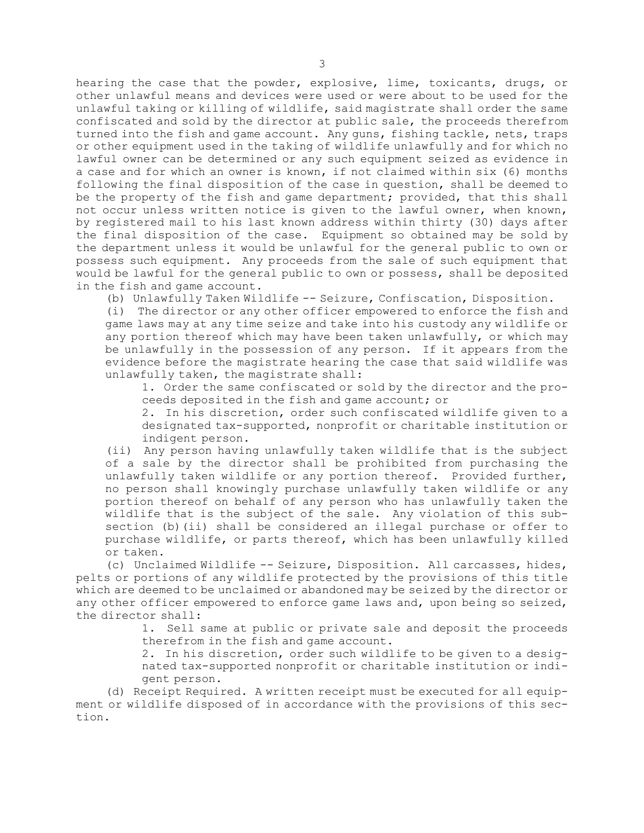hearing the case that the powder, explosive, lime, toxicants, drugs, or other unlawful means and devices were used or were about to be used for the unlawful taking or killing of wildlife, said magistrate shall order the same confiscated and sold by the director at public sale, the proceeds therefrom turned into the fish and game account. Any guns, fishing tackle, nets, traps or other equipment used in the taking of wildlife unlawfully and for which no lawful owner can be determined or any such equipment seized as evidence in <sup>a</sup> case and for which an owner is known, if not claimed within six (6) months following the final disposition of the case in question, shall be deemed to be the property of the fish and game department; provided, that this shall not occur unless written notice is given to the lawful owner, when known, by registered mail to his last known address within thirty (30) days after the final disposition of the case. Equipment so obtained may be sold by the department unless it would be unlawful for the general public to own or possess such equipment. Any proceeds from the sale of such equipment that would be lawful for the general public to own or possess, shall be deposited in the fish and game account.

(b) Unlawfully Taken Wildlife -- Seizure, Confiscation, Disposition.

(i) The director or any other officer empowered to enforce the fish and game laws may at any time seize and take into his custody any wildlife or any portion thereof which may have been taken unlawfully, or which may be unlawfully in the possession of any person. If it appears from the evidence before the magistrate hearing the case that said wildlife was unlawfully taken, the magistrate shall:

1. Order the same confiscated or sold by the director and the proceeds deposited in the fish and game account; or

2. In his discretion, order such confiscated wildlife given to <sup>a</sup> designated tax-supported, nonprofit or charitable institution or indigent person.

(ii) Any person having unlawfully taken wildlife that is the subject of <sup>a</sup> sale by the director shall be prohibited from purchasing the unlawfully taken wildlife or any portion thereof. Provided further, no person shall knowingly purchase unlawfully taken wildlife or any portion thereof on behalf of any person who has unlawfully taken the wildlife that is the subject of the sale. Any violation of this subsection (b)(ii) shall be considered an illegal purchase or offer to purchase wildlife, or parts thereof, which has been unlawfully killed or taken.

(c) Unclaimed Wildlife -- Seizure, Disposition. All carcasses, hides, pelts or portions of any wildlife protected by the provisions of this title which are deemed to be unclaimed or abandoned may be seized by the director or any other officer empowered to enforce game laws and, upon being so seized, the director shall:

> 1. Sell same at public or private sale and deposit the proceeds therefrom in the fish and game account.

> 2. In his discretion, order such wildlife to be given to <sup>a</sup> designated tax-supported nonprofit or charitable institution or indigent person.

(d) Receipt Required. <sup>A</sup> written receipt must be executed for all equipment or wildlife disposed of in accordance with the provisions of this section.